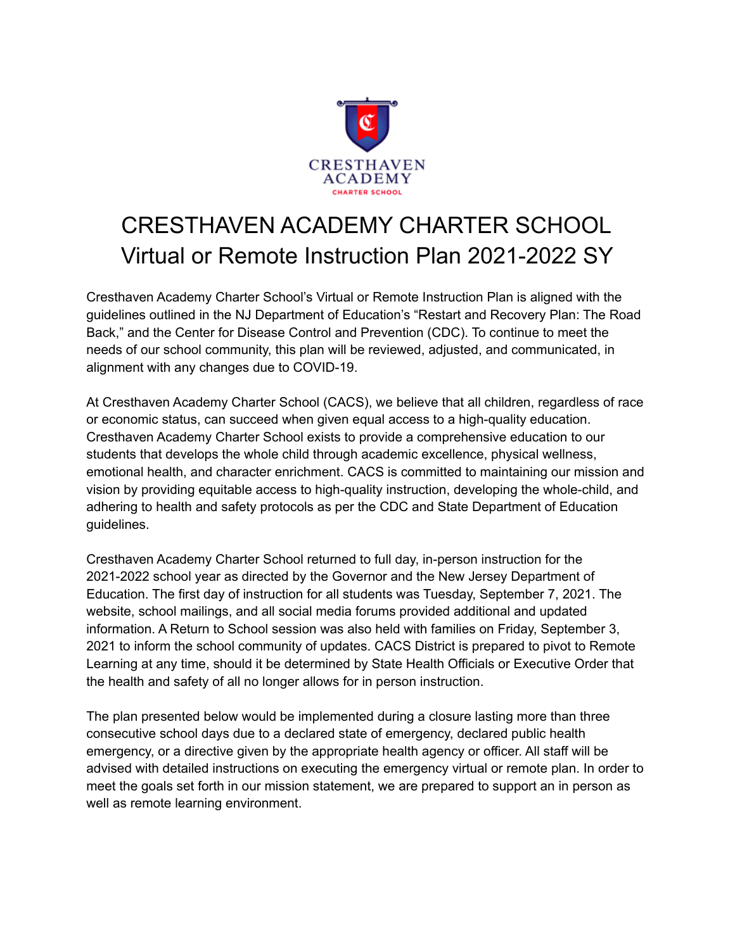

## CRESTHAVEN ACADEMY CHARTER SCHOOL Virtual or Remote Instruction Plan 2021-2022 SY

Cresthaven Academy Charter School's Virtual or Remote Instruction Plan is aligned with the guidelines outlined in the NJ Department of Education's "Restart and Recovery Plan: The Road Back," and the Center for Disease Control and Prevention (CDC). To continue to meet the needs of our school community, this plan will be reviewed, adjusted, and communicated, in alignment with any changes due to COVID-19.

At Cresthaven Academy Charter School (CACS), we believe that all children, regardless of race or economic status, can succeed when given equal access to a high-quality education. Cresthaven Academy Charter School exists to provide a comprehensive education to our students that develops the whole child through academic excellence, physical wellness, emotional health, and character enrichment. CACS is committed to maintaining our mission and vision by providing equitable access to high-quality instruction, developing the whole-child, and adhering to health and safety protocols as per the CDC and State Department of Education guidelines.

Cresthaven Academy Charter School returned to full day, in-person instruction for the 2021-2022 school year as directed by the Governor and the New Jersey Department of Education. The first day of instruction for all students was Tuesday, September 7, 2021. The website, school mailings, and all social media forums provided additional and updated information. A Return to School session was also held with families on Friday, September 3, 2021 to inform the school community of updates. CACS District is prepared to pivot to Remote Learning at any time, should it be determined by State Health Officials or Executive Order that the health and safety of all no longer allows for in person instruction.

The plan presented below would be implemented during a closure lasting more than three consecutive school days due to a declared state of emergency, declared public health emergency, or a directive given by the appropriate health agency or officer. All staff will be advised with detailed instructions on executing the emergency virtual or remote plan. In order to meet the goals set forth in our mission statement, we are prepared to support an in person as well as remote learning environment.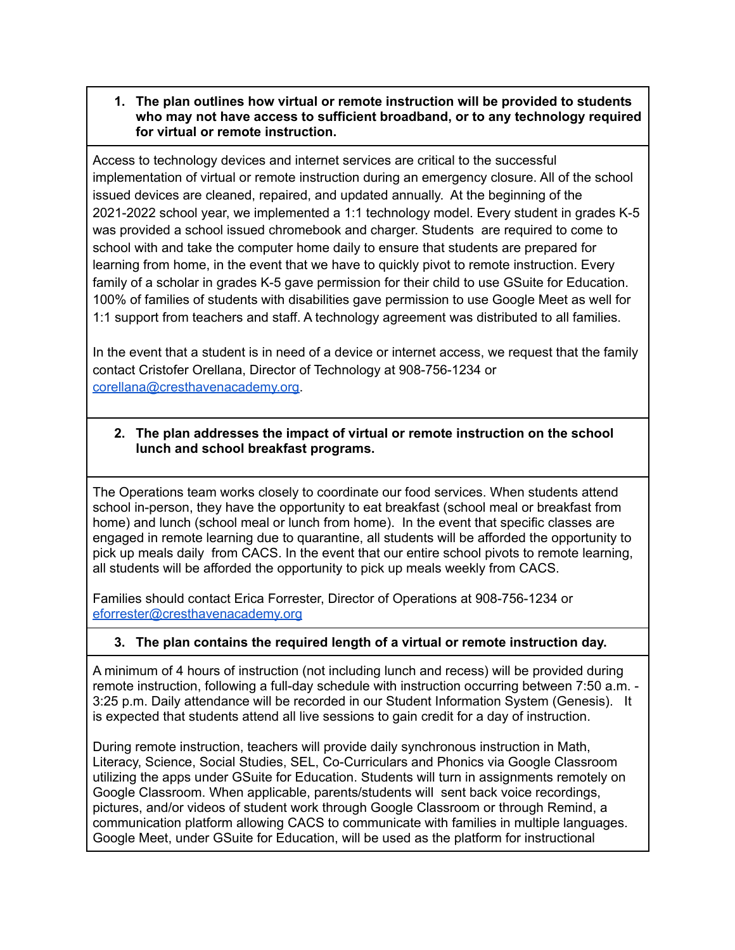## **1. The plan outlines how virtual or remote instruction will be provided to students who may not have access to sufficient broadband, or to any technology required for virtual or remote instruction.**

Access to technology devices and internet services are critical to the successful implementation of virtual or remote instruction during an emergency closure. All of the school issued devices are cleaned, repaired, and updated annually. At the beginning of the 2021-2022 school year, we implemented a 1:1 technology model. Every student in grades K-5 was provided a school issued chromebook and charger. Students are required to come to school with and take the computer home daily to ensure that students are prepared for learning from home, in the event that we have to quickly pivot to remote instruction. Every family of a scholar in grades K-5 gave permission for their child to use GSuite for Education. 100% of families of students with disabilities gave permission to use Google Meet as well for 1:1 support from teachers and staff. A technology agreement was distributed to all families.

In the event that a student is in need of a device or internet access, we request that the family contact Cristofer Orellana, Director of Technology at 908-756-1234 or [corellana@cresthavenacademy.org.](mailto:corellana@cresthavenacademy.org)

## **2. The plan addresses the impact of virtual or remote instruction on the school lunch and school breakfast programs.**

The Operations team works closely to coordinate our food services. When students attend school in-person, they have the opportunity to eat breakfast (school meal or breakfast from home) and lunch (school meal or lunch from home). In the event that specific classes are engaged in remote learning due to quarantine, all students will be afforded the opportunity to pick up meals daily from CACS. In the event that our entire school pivots to remote learning, all students will be afforded the opportunity to pick up meals weekly from CACS.

Families should contact Erica Forrester, Director of Operations at 908-756-1234 or [eforrester@cresthavenacademy.org](mailto:eforrester@cresthavenacademy.org)

## **3. The plan contains the required length of a virtual or remote instruction day.**

A minimum of 4 hours of instruction (not including lunch and recess) will be provided during remote instruction, following a full-day schedule with instruction occurring between 7:50 a.m. - 3:25 p.m. Daily attendance will be recorded in our Student Information System (Genesis). It is expected that students attend all live sessions to gain credit for a day of instruction.

During remote instruction, teachers will provide daily synchronous instruction in Math, Literacy, Science, Social Studies, SEL, Co-Curriculars and Phonics via Google Classroom utilizing the apps under GSuite for Education. Students will turn in assignments remotely on Google Classroom. When applicable, parents/students will sent back voice recordings, pictures, and/or videos of student work through Google Classroom or through Remind, a communication platform allowing CACS to communicate with families in multiple languages. Google Meet, under GSuite for Education, will be used as the platform for instructional